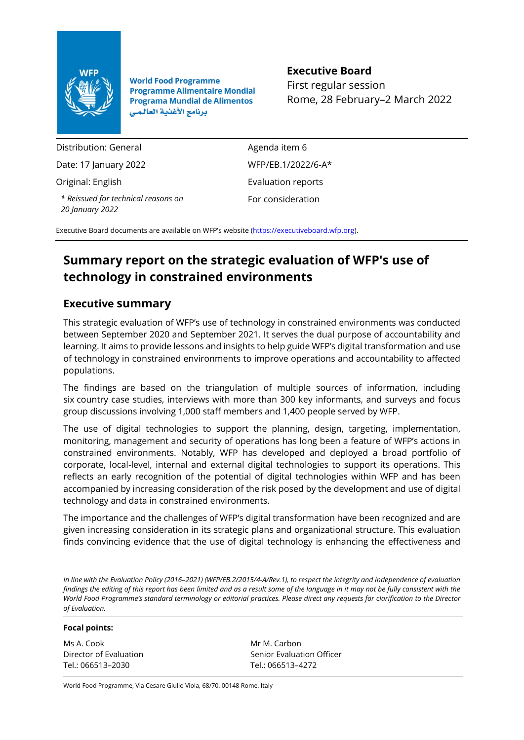

**World Food Programme Programme Alimentaire Mondial Programa Mundial de Alimentos** برنامج الأغذية العالمي

# **Executive Board**

First regular session Rome, 28 February–2 March 2022

Distribution: General Date: 17 January 2022 Original: English *\* Reissued for technical reasons on 20 January 2022*

Agenda item 6 WFP/EB.1/2022/6-A\* Evaluation reports For consideration

Executive Board documents are available on WFP's website [\(https://executiveboard.wfp.org\)](https://executiveboard.wfp.org/).

# **Summary report on the strategic evaluation of WFP's use of technology in constrained environments**

# **Executive summary**

This strategic evaluation of WFP's use of technology in constrained environments was conducted between September 2020 and September 2021. It serves the dual purpose of accountability and learning. It aims to provide lessons and insights to help guide WFP's digital transformation and use of technology in constrained environments to improve operations and accountability to affected populations.

The findings are based on the triangulation of multiple sources of information, including six country case studies, interviews with more than 300 key informants, and surveys and focus group discussions involving 1,000 staff members and 1,400 people served by WFP.

The use of digital technologies to support the planning, design, targeting, implementation, monitoring, management and security of operations has long been a feature of WFP's actions in constrained environments. Notably, WFP has developed and deployed a broad portfolio of corporate, local-level, internal and external digital technologies to support its operations. This reflects an early recognition of the potential of digital technologies within WFP and has been accompanied by increasing consideration of the risk posed by the development and use of digital technology and data in constrained environments.

The importance and the challenges of WFP's digital transformation have been recognized and are given increasing consideration in its strategic plans and organizational structure. This evaluation finds convincing evidence that the use of digital technology is enhancing the effectiveness and

*In line with the Evaluation Policy (2016–2021) (WFP/EB.2/2015/4-A/Rev.1), to respect the integrity and independence of evaluation findings the editing of this report has been limited and as a result some of the language in it may not be fully consistent with the World Food Programme's standard terminology or editorial practices. Please direct any requests for clarification to the Director of Evaluation.*

#### **Focal points:**

Ms A. Cook Director of Evaluation Tel.: 066513–2030

Mr M. Carbon Senior Evaluation Officer Tel.: 066513–4272

World Food Programme, Via Cesare Giulio Viola, 68/70, 00148 Rome, Italy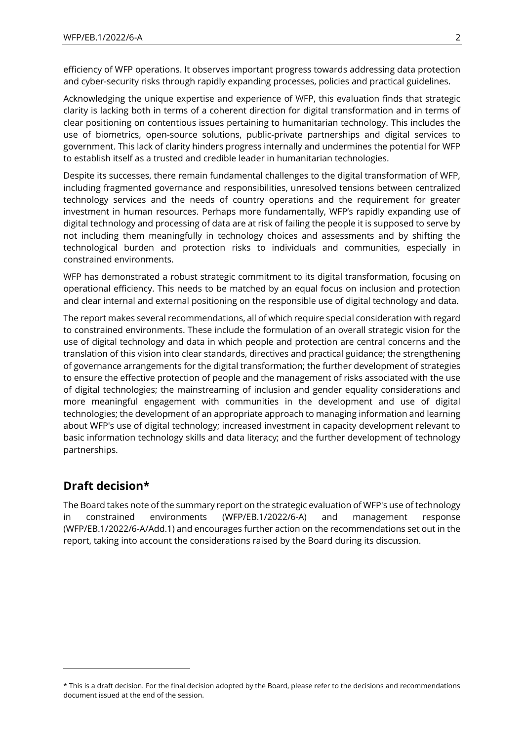efficiency of WFP operations. It observes important progress towards addressing data protection and cyber-security risks through rapidly expanding processes, policies and practical guidelines.

Acknowledging the unique expertise and experience of WFP, this evaluation finds that strategic clarity is lacking both in terms of a coherent direction for digital transformation and in terms of clear positioning on contentious issues pertaining to humanitarian technology. This includes the use of biometrics, open-source solutions, public-private partnerships and digital services to government. This lack of clarity hinders progress internally and undermines the potential for WFP to establish itself as a trusted and credible leader in humanitarian technologies.

Despite its successes, there remain fundamental challenges to the digital transformation of WFP, including fragmented governance and responsibilities, unresolved tensions between centralized technology services and the needs of country operations and the requirement for greater investment in human resources. Perhaps more fundamentally, WFP's rapidly expanding use of digital technology and processing of data are at risk of failing the people it is supposed to serve by not including them meaningfully in technology choices and assessments and by shifting the technological burden and protection risks to individuals and communities, especially in constrained environments.

WFP has demonstrated a robust strategic commitment to its digital transformation, focusing on operational efficiency. This needs to be matched by an equal focus on inclusion and protection and clear internal and external positioning on the responsible use of digital technology and data.

The report makes several recommendations, all of which require special consideration with regard to constrained environments. These include the formulation of an overall strategic vision for the use of digital technology and data in which people and protection are central concerns and the translation of this vision into clear standards, directives and practical guidance; the strengthening of governance arrangements for the digital transformation; the further development of strategies to ensure the effective protection of people and the management of risks associated with the use of digital technologies; the mainstreaming of inclusion and gender equality considerations and more meaningful engagement with communities in the development and use of digital technologies; the development of an appropriate approach to managing information and learning about WFP's use of digital technology; increased investment in capacity development relevant to basic information technology skills and data literacy; and the further development of technology partnerships.

# **Draft decision\***

The Board takes note of the summary report on the strategic evaluation of WFP's use of technology in constrained environments (WFP/EB.1/2022/6-A) and management response (WFP/EB.1/2022/6-A/Add.1) and encourages further action on the recommendations set out in the report, taking into account the considerations raised by the Board during its discussion.

<sup>\*</sup> This is a draft decision. For the final decision adopted by the Board, please refer to the decisions and recommendations document issued at the end of the session.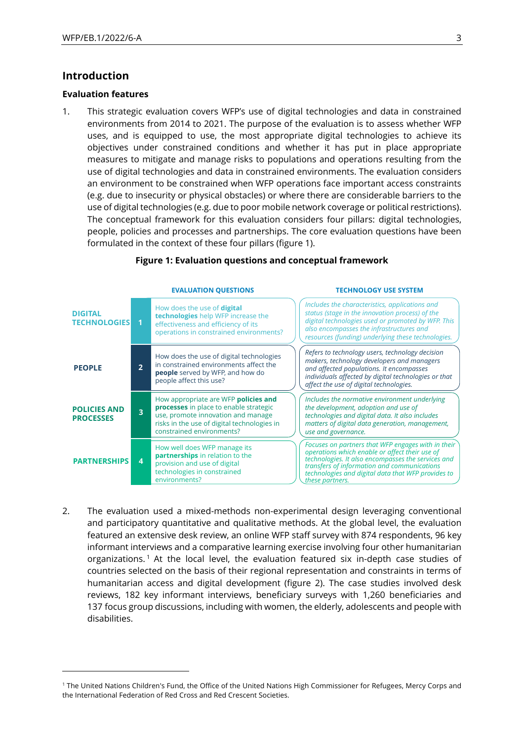# **Introduction**

#### **Evaluation features**

1. This strategic evaluation covers WFP's use of digital technologies and data in constrained environments from 2014 to 2021. The purpose of the evaluation is to assess whether WFP uses, and is equipped to use, the most appropriate digital technologies to achieve its objectives under constrained conditions and whether it has put in place appropriate measures to mitigate and manage risks to populations and operations resulting from the use of digital technologies and data in constrained environments. The evaluation considers an environment to be constrained when WFP operations face important access constraints (e.g. due to insecurity or physical obstacles) or where there are considerable barriers to the use of digital technologies (e.g. due to poor mobile network coverage or political restrictions). The conceptual framework for this evaluation considers four pillars: digital technologies, people, policies and processes and partnerships. The core evaluation questions have been formulated in the context of these four pillars (figure 1).



### **Figure 1: Evaluation questions and conceptual framework**

2. The evaluation used a mixed-methods non-experimental design leveraging conventional and participatory quantitative and qualitative methods. At the global level, the evaluation featured an extensive desk review, an online WFP staff survey with 874 respondents, 96 key informant interviews and a comparative learning exercise involving four other humanitarian organizations.<sup>1</sup> At the local level, the evaluation featured six in-depth case studies of countries selected on the basis of their regional representation and constraints in terms of humanitarian access and digital development (figure 2). The case studies involved desk reviews, 182 key informant interviews, beneficiary surveys with 1,260 beneficiaries and 137 focus group discussions, including with women, the elderly, adolescents and people with disabilities.

<sup>1</sup> The United Nations Children's Fund, the Office of the United Nations High Commissioner for Refugees, Mercy Corps and the International Federation of Red Cross and Red Crescent Societies.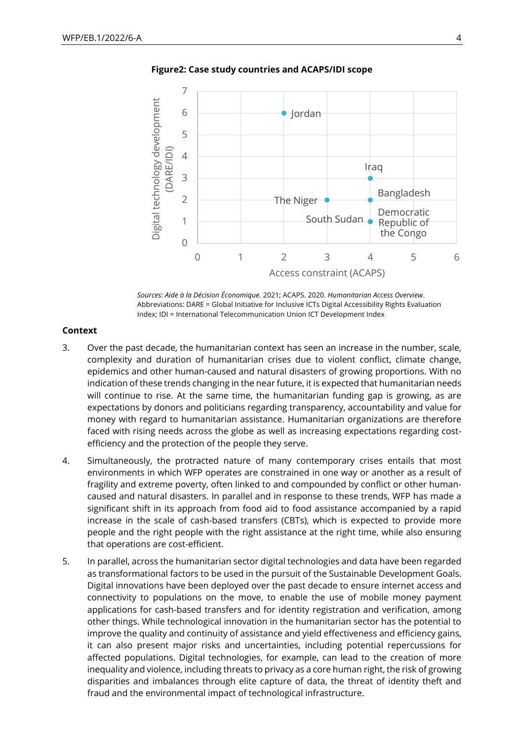

**Figure2: Case study countries and ACAPS/IDI scope**

*Sources*: *Aide à la Décision Économique.* 2021; ACAPS. 2020. *Humanitarian Access Overview*. Abbreviations: DARE = Global Initiative for Inclusive ICTs Digital Accessibility Rights Evaluation Index; IDI = International Telecommunication Union ICT Development Index

#### **Context**

- 3. Over the past decade, the humanitarian context has seen an increase in the number, scale, complexity and duration of humanitarian crises due to violent conflict, climate change, epidemics and other human-caused and natural disasters of growing proportions. With no indication of these trends changing in the near future, it is expected that humanitarian needs will continue to rise. At the same time, the humanitarian funding gap is growing, as are expectations by donors and politicians regarding transparency, accountability and value for money with regard to humanitarian assistance. Humanitarian organizations are therefore faced with rising needs across the globe as well as increasing expectations regarding costefficiency and the protection of the people they serve.
- 4. Simultaneously, the protracted nature of many contemporary crises entails that most environments in which WFP operates are constrained in one way or another as a result of fragility and extreme poverty, often linked to and compounded by conflict or other humancaused and natural disasters. In parallel and in response to these trends, WFP has made a significant shift in its approach from food aid to food assistance accompanied by a rapid increase in the scale of cash-based transfers (CBTs), which is expected to provide more people and the right people with the right assistance at the right time, while also ensuring that operations are cost-efficient.
- 5. In parallel, across the humanitarian sector digital technologies and data have been regarded as transformational factors to be used in the pursuit of the Sustainable Development Goals. Digital innovations have been deployed over the past decade to ensure internet access and connectivity to populations on the move, to enable the use of mobile money payment applications for cash-based transfers and for identity registration and verification, among other things. While technological innovation in the humanitarian sector has the potential to improve the quality and continuity of assistance and yield effectiveness and efficiency gains, it can also present major risks and uncertainties, including potential repercussions for affected populations. Digital technologies, for example, can lead to the creation of more inequality and violence, including threats to privacy as a core human right, the risk of growing disparities and imbalances through elite capture of data, the threat of identity theft and fraud and the environmental impact of technological infrastructure.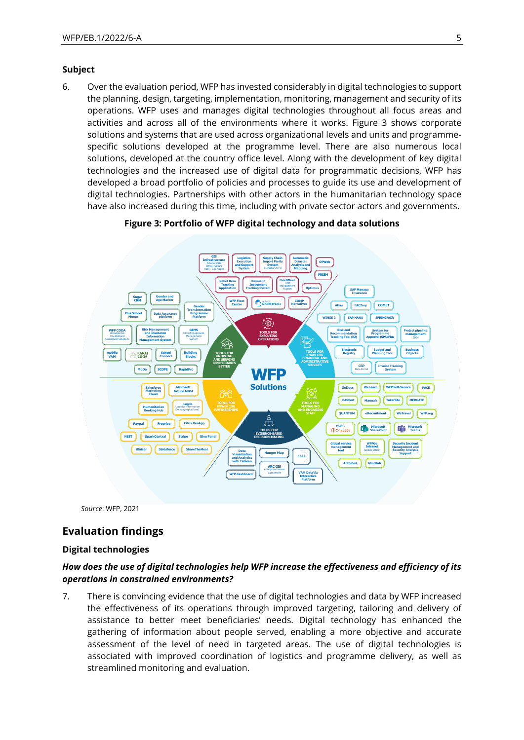#### **Subject**

6. Over the evaluation period, WFP has invested considerably in digital technologies to support the planning, design, targeting, implementation, monitoring, management and security of its operations. WFP uses and manages digital technologies throughout all focus areas and activities and across all of the environments where it works. Figure 3 shows corporate solutions and systems that are used across organizational levels and units and programmespecific solutions developed at the programme level. There are also numerous local solutions, developed at the country office level. Along with the development of key digital technologies and the increased use of digital data for programmatic decisions, WFP has developed a broad portfolio of policies and processes to guide its use and development of digital technologies. Partnerships with other actors in the humanitarian technology space have also increased during this time, including with private sector actors and governments.

### **Figure 3: Portfolio of WFP digital technology and data solutions**



*Source*: WFP, 2021

# **Evaluation findings**

#### **Digital technologies**

# *How does the use of digital technologies help WFP increase the effectiveness and efficiency of its operations in constrained environments?*

7. There is convincing evidence that the use of digital technologies and data by WFP increased the effectiveness of its operations through improved targeting, tailoring and delivery of assistance to better meet beneficiaries' needs. Digital technology has enhanced the gathering of information about people served, enabling a more objective and accurate assessment of the level of need in targeted areas. The use of digital technologies is associated with improved coordination of logistics and programme delivery, as well as streamlined monitoring and evaluation.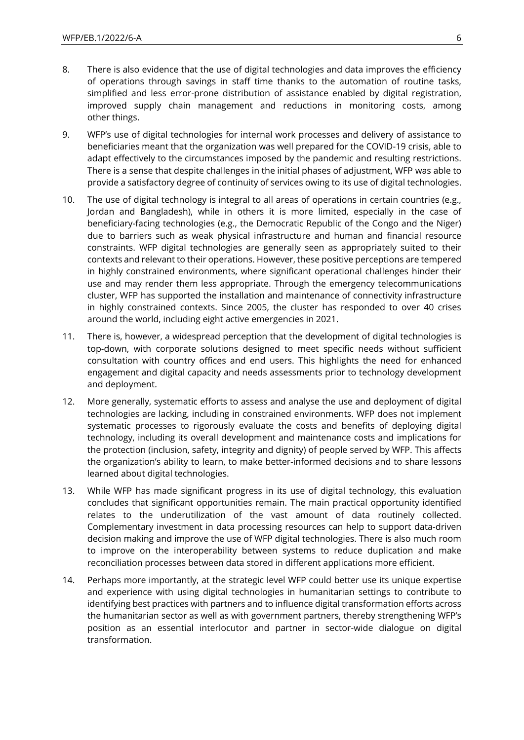- 8. There is also evidence that the use of digital technologies and data improves the efficiency of operations through savings in staff time thanks to the automation of routine tasks, simplified and less error-prone distribution of assistance enabled by digital registration, improved supply chain management and reductions in monitoring costs, among other things.
- 9. WFP's use of digital technologies for internal work processes and delivery of assistance to beneficiaries meant that the organization was well prepared for the COVID-19 crisis, able to adapt effectively to the circumstances imposed by the pandemic and resulting restrictions. There is a sense that despite challenges in the initial phases of adjustment, WFP was able to provide a satisfactory degree of continuity of services owing to its use of digital technologies.
- 10. The use of digital technology is integral to all areas of operations in certain countries (e.g., Jordan and Bangladesh), while in others it is more limited, especially in the case of beneficiary-facing technologies (e.g., the Democratic Republic of the Congo and the Niger) due to barriers such as weak physical infrastructure and human and financial resource constraints. WFP digital technologies are generally seen as appropriately suited to their contexts and relevant to their operations. However, these positive perceptions are tempered in highly constrained environments, where significant operational challenges hinder their use and may render them less appropriate. Through the emergency telecommunications cluster, WFP has supported the installation and maintenance of connectivity infrastructure in highly constrained contexts. Since 2005, the cluster has responded to over 40 crises around the world, including eight active emergencies in 2021.
- 11. There is, however, a widespread perception that the development of digital technologies is top-down, with corporate solutions designed to meet specific needs without sufficient consultation with country offices and end users. This highlights the need for enhanced engagement and digital capacity and needs assessments prior to technology development and deployment.
- 12. More generally, systematic efforts to assess and analyse the use and deployment of digital technologies are lacking, including in constrained environments. WFP does not implement systematic processes to rigorously evaluate the costs and benefits of deploying digital technology, including its overall development and maintenance costs and implications for the protection (inclusion, safety, integrity and dignity) of people served by WFP. This affects the organization's ability to learn, to make better-informed decisions and to share lessons learned about digital technologies.
- 13. While WFP has made significant progress in its use of digital technology, this evaluation concludes that significant opportunities remain. The main practical opportunity identified relates to the underutilization of the vast amount of data routinely collected. Complementary investment in data processing resources can help to support data-driven decision making and improve the use of WFP digital technologies. There is also much room to improve on the interoperability between systems to reduce duplication and make reconciliation processes between data stored in different applications more efficient.
- 14. Perhaps more importantly, at the strategic level WFP could better use its unique expertise and experience with using digital technologies in humanitarian settings to contribute to identifying best practices with partners and to influence digital transformation efforts across the humanitarian sector as well as with government partners, thereby strengthening WFP's position as an essential interlocutor and partner in sector-wide dialogue on digital transformation.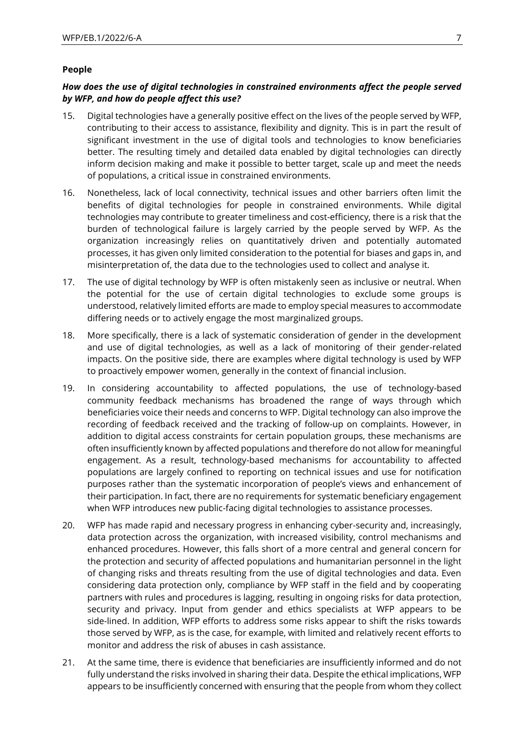# **People**

# *How does the use of digital technologies in constrained environments affect the people served by WFP, and how do people affect this use?*

- 15. Digital technologies have a generally positive effect on the lives of the people served by WFP, contributing to their access to assistance, flexibility and dignity. This is in part the result of significant investment in the use of digital tools and technologies to know beneficiaries better. The resulting timely and detailed data enabled by digital technologies can directly inform decision making and make it possible to better target, scale up and meet the needs of populations, a critical issue in constrained environments.
- 16. Nonetheless, lack of local connectivity, technical issues and other barriers often limit the benefits of digital technologies for people in constrained environments. While digital technologies may contribute to greater timeliness and cost-efficiency, there is a risk that the burden of technological failure is largely carried by the people served by WFP. As the organization increasingly relies on quantitatively driven and potentially automated processes, it has given only limited consideration to the potential for biases and gaps in, and misinterpretation of, the data due to the technologies used to collect and analyse it.
- 17. The use of digital technology by WFP is often mistakenly seen as inclusive or neutral. When the potential for the use of certain digital technologies to exclude some groups is understood, relatively limited efforts are made to employ special measures to accommodate differing needs or to actively engage the most marginalized groups.
- 18. More specifically, there is a lack of systematic consideration of gender in the development and use of digital technologies, as well as a lack of monitoring of their gender-related impacts. On the positive side, there are examples where digital technology is used by WFP to proactively empower women, generally in the context of financial inclusion.
- 19. In considering accountability to affected populations, the use of technology-based community feedback mechanisms has broadened the range of ways through which beneficiaries voice their needs and concerns to WFP. Digital technology can also improve the recording of feedback received and the tracking of follow-up on complaints. However, in addition to digital access constraints for certain population groups, these mechanisms are often insufficiently known by affected populations and therefore do not allow for meaningful engagement. As a result, technology-based mechanisms for accountability to affected populations are largely confined to reporting on technical issues and use for notification purposes rather than the systematic incorporation of people's views and enhancement of their participation. In fact, there are no requirements for systematic beneficiary engagement when WFP introduces new public-facing digital technologies to assistance processes.
- 20. WFP has made rapid and necessary progress in enhancing cyber-security and, increasingly, data protection across the organization, with increased visibility, control mechanisms and enhanced procedures. However, this falls short of a more central and general concern for the protection and security of affected populations and humanitarian personnel in the light of changing risks and threats resulting from the use of digital technologies and data. Even considering data protection only, compliance by WFP staff in the field and by cooperating partners with rules and procedures is lagging, resulting in ongoing risks for data protection, security and privacy. Input from gender and ethics specialists at WFP appears to be side-lined. In addition, WFP efforts to address some risks appear to shift the risks towards those served by WFP, as is the case, for example, with limited and relatively recent efforts to monitor and address the risk of abuses in cash assistance.
- 21. At the same time, there is evidence that beneficiaries are insufficiently informed and do not fully understand the risks involved in sharing their data. Despite the ethical implications, WFP appears to be insufficiently concerned with ensuring that the people from whom they collect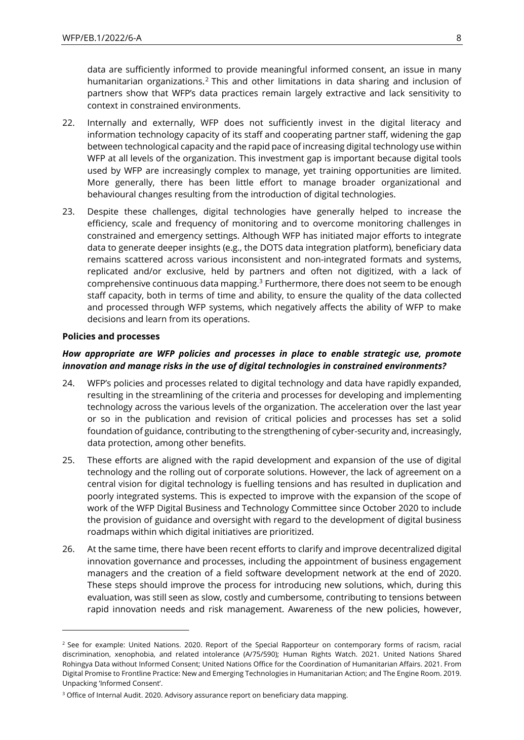data are sufficiently informed to provide meaningful informed consent, an issue in many humanitarian organizations.<sup>2</sup> This and other limitations in data sharing and inclusion of partners show that WFP's data practices remain largely extractive and lack sensitivity to context in constrained environments.

- 22. Internally and externally, WFP does not sufficiently invest in the digital literacy and information technology capacity of its staff and cooperating partner staff, widening the gap between technological capacity and the rapid pace of increasing digital technology use within WFP at all levels of the organization. This investment gap is important because digital tools used by WFP are increasingly complex to manage, yet training opportunities are limited. More generally, there has been little effort to manage broader organizational and behavioural changes resulting from the introduction of digital technologies.
- 23. Despite these challenges, digital technologies have generally helped to increase the efficiency, scale and frequency of monitoring and to overcome monitoring challenges in constrained and emergency settings. Although WFP has initiated major efforts to integrate data to generate deeper insights (e.g., the DOTS data integration platform), beneficiary data remains scattered across various inconsistent and non-integrated formats and systems, replicated and/or exclusive, held by partners and often not digitized, with a lack of comprehensive continuous data mapping.<sup>3</sup> Furthermore, there does not seem to be enough staff capacity, both in terms of time and ability, to ensure the quality of the data collected and processed through WFP systems, which negatively affects the ability of WFP to make decisions and learn from its operations.

#### **Policies and processes**

# *How appropriate are WFP policies and processes in place to enable strategic use, promote innovation and manage risks in the use of digital technologies in constrained environments?*

- 24. WFP's policies and processes related to digital technology and data have rapidly expanded, resulting in the streamlining of the criteria and processes for developing and implementing technology across the various levels of the organization. The acceleration over the last year or so in the publication and revision of critical policies and processes has set a solid foundation of guidance, contributing to the strengthening of cyber-security and, increasingly, data protection, among other benefits.
- 25. These efforts are aligned with the rapid development and expansion of the use of digital technology and the rolling out of corporate solutions. However, the lack of agreement on a central vision for digital technology is fuelling tensions and has resulted in duplication and poorly integrated systems. This is expected to improve with the expansion of the scope of work of the WFP Digital Business and Technology Committee since October 2020 to include the provision of guidance and oversight with regard to the development of digital business roadmaps within which digital initiatives are prioritized.
- 26. At the same time, there have been recent efforts to clarify and improve decentralized digital innovation governance and processes, including the appointment of business engagement managers and the creation of a field software development network at the end of 2020. These steps should improve the process for introducing new solutions, which, during this evaluation, was still seen as slow, costly and cumbersome, contributing to tensions between rapid innovation needs and risk management. Awareness of the new policies, however,

<sup>&</sup>lt;sup>2</sup> See for example: United Nations. 2020. Report of the Special Rapporteur on contemporary forms of racism, racial discrimination, xenophobia, and related intolerance (A/75/590); Human Rights Watch. 2021. United Nations Shared Rohingya Data without Informed Consent; United Nations Office for the Coordination of Humanitarian Affairs. 2021. From Digital Promise to Frontline Practice: New and Emerging Technologies in Humanitarian Action; and The Engine Room. 2019. Unpacking 'Informed Consent'.

<sup>&</sup>lt;sup>3</sup> Office of Internal Audit. 2020. Advisory assurance report on beneficiary data mapping.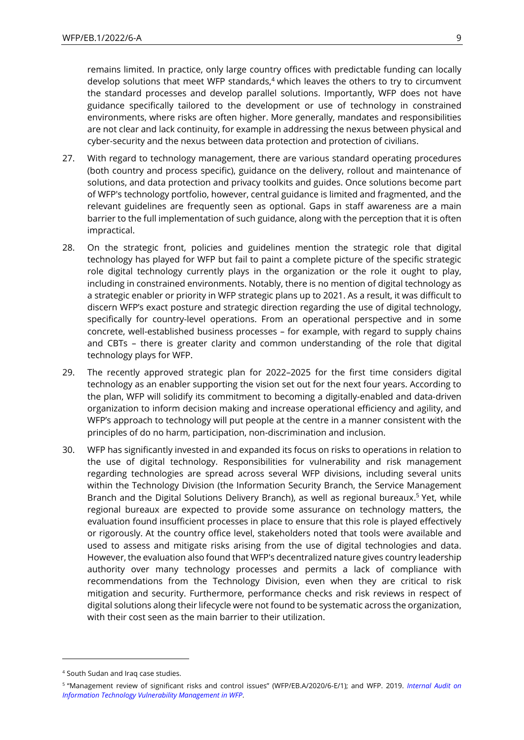remains limited. In practice, only large country offices with predictable funding can locally develop solutions that meet WFP standards, $4$  which leaves the others to try to circumvent the standard processes and develop parallel solutions. Importantly, WFP does not have guidance specifically tailored to the development or use of technology in constrained environments, where risks are often higher. More generally, mandates and responsibilities are not clear and lack continuity, for example in addressing the nexus between physical and cyber-security and the nexus between data protection and protection of civilians.

- 27. With regard to technology management, there are various standard operating procedures (both country and process specific), guidance on the delivery, rollout and maintenance of solutions, and data protection and privacy toolkits and guides. Once solutions become part of WFP's technology portfolio, however, central guidance is limited and fragmented, and the relevant guidelines are frequently seen as optional. Gaps in staff awareness are a main barrier to the full implementation of such guidance, along with the perception that it is often impractical.
- 28. On the strategic front, policies and guidelines mention the strategic role that digital technology has played for WFP but fail to paint a complete picture of the specific strategic role digital technology currently plays in the organization or the role it ought to play, including in constrained environments. Notably, there is no mention of digital technology as a strategic enabler or priority in WFP strategic plans up to 2021. As a result, it was difficult to discern WFP's exact posture and strategic direction regarding the use of digital technology, specifically for country-level operations. From an operational perspective and in some concrete, well-established business processes – for example, with regard to supply chains and CBTs – there is greater clarity and common understanding of the role that digital technology plays for WFP.
- 29. The recently approved strategic plan for 2022–2025 for the first time considers digital technology as an enabler supporting the vision set out for the next four years. According to the plan, WFP will solidify its commitment to becoming a digitally-enabled and data-driven organization to inform decision making and increase operational efficiency and agility, and WFP's approach to technology will put people at the centre in a manner consistent with the principles of do no harm, participation, non-discrimination and inclusion.
- 30. WFP has significantly invested in and expanded its focus on risks to operations in relation to the use of digital technology. Responsibilities for vulnerability and risk management regarding technologies are spread across several WFP divisions, including several units within the Technology Division (the Information Security Branch, the Service Management Branch and the Digital Solutions Delivery Branch), as well as regional bureaux.<sup>5</sup> Yet, while regional bureaux are expected to provide some assurance on technology matters, the evaluation found insufficient processes in place to ensure that this role is played effectively or rigorously. At the country office level, stakeholders noted that tools were available and used to assess and mitigate risks arising from the use of digital technologies and data. However, the evaluation also found that WFP's decentralized nature gives country leadership authority over many technology processes and permits a lack of compliance with recommendations from the Technology Division, even when they are critical to risk mitigation and security. Furthermore, performance checks and risk reviews in respect of digital solutions along their lifecycle were not found to be systematic across the organization, with their cost seen as the main barrier to their utilization.

<sup>4</sup> South Sudan and Iraq case studies.

<sup>5</sup> "Management review of significant risks and control issues" (WFP/EB.A/2020/6-E/1); and WFP. 2019. *[Internal Audit on](https://www.wfp.org/audit-reports/internal-audit-information-technology-vulnerability-management-wfp-march-2019-report)  [Information Technology Vulnerability Management](https://www.wfp.org/audit-reports/internal-audit-information-technology-vulnerability-management-wfp-march-2019-report) in WFP*.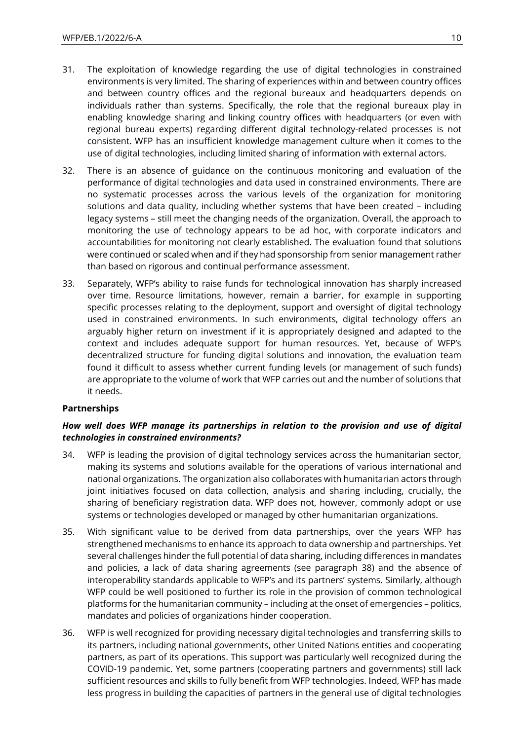- 31. The exploitation of knowledge regarding the use of digital technologies in constrained environments is very limited. The sharing of experiences within and between country offices and between country offices and the regional bureaux and headquarters depends on individuals rather than systems. Specifically, the role that the regional bureaux play in enabling knowledge sharing and linking country offices with headquarters (or even with regional bureau experts) regarding different digital technology-related processes is not consistent. WFP has an insufficient knowledge management culture when it comes to the use of digital technologies, including limited sharing of information with external actors.
- 32. There is an absence of guidance on the continuous monitoring and evaluation of the performance of digital technologies and data used in constrained environments. There are no systematic processes across the various levels of the organization for monitoring solutions and data quality, including whether systems that have been created – including legacy systems – still meet the changing needs of the organization. Overall, the approach to monitoring the use of technology appears to be ad hoc, with corporate indicators and accountabilities for monitoring not clearly established. The evaluation found that solutions were continued or scaled when and if they had sponsorship from senior management rather than based on rigorous and continual performance assessment.
- 33. Separately, WFP's ability to raise funds for technological innovation has sharply increased over time. Resource limitations, however, remain a barrier, for example in supporting specific processes relating to the deployment, support and oversight of digital technology used in constrained environments. In such environments, digital technology offers an arguably higher return on investment if it is appropriately designed and adapted to the context and includes adequate support for human resources. Yet, because of WFP's decentralized structure for funding digital solutions and innovation, the evaluation team found it difficult to assess whether current funding levels (or management of such funds) are appropriate to the volume of work that WFP carries out and the number of solutions that it needs.

# **Partnerships**

# *How well does WFP manage its partnerships in relation to the provision and use of digital technologies in constrained environments?*

- 34. WFP is leading the provision of digital technology services across the humanitarian sector, making its systems and solutions available for the operations of various international and national organizations. The organization also collaborates with humanitarian actors through joint initiatives focused on data collection, analysis and sharing including, crucially, the sharing of beneficiary registration data. WFP does not, however, commonly adopt or use systems or technologies developed or managed by other humanitarian organizations.
- 35. With significant value to be derived from data partnerships, over the years WFP has strengthened mechanisms to enhance its approach to data ownership and partnerships. Yet several challenges hinder the full potential of data sharing, including differences in mandates and policies, a lack of data sharing agreements (see paragraph 38) and the absence of interoperability standards applicable to WFP's and its partners' systems. Similarly, although WFP could be well positioned to further its role in the provision of common technological platforms for the humanitarian community – including at the onset of emergencies – politics, mandates and policies of organizations hinder cooperation.
- 36. WFP is well recognized for providing necessary digital technologies and transferring skills to its partners, including national governments, other United Nations entities and cooperating partners, as part of its operations. This support was particularly well recognized during the COVID-19 pandemic. Yet, some partners (cooperating partners and governments) still lack sufficient resources and skills to fully benefit from WFP technologies. Indeed, WFP has made less progress in building the capacities of partners in the general use of digital technologies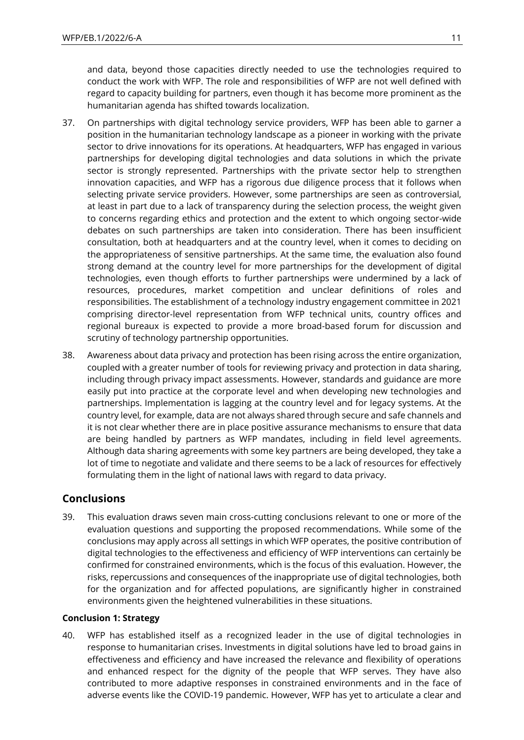and data, beyond those capacities directly needed to use the technologies required to conduct the work with WFP. The role and responsibilities of WFP are not well defined with regard to capacity building for partners, even though it has become more prominent as the humanitarian agenda has shifted towards localization.

- 37. On partnerships with digital technology service providers, WFP has been able to garner a position in the humanitarian technology landscape as a pioneer in working with the private sector to drive innovations for its operations. At headquarters, WFP has engaged in various partnerships for developing digital technologies and data solutions in which the private sector is strongly represented. Partnerships with the private sector help to strengthen innovation capacities, and WFP has a rigorous due diligence process that it follows when selecting private service providers. However, some partnerships are seen as controversial, at least in part due to a lack of transparency during the selection process, the weight given to concerns regarding ethics and protection and the extent to which ongoing sector-wide debates on such partnerships are taken into consideration. There has been insufficient consultation, both at headquarters and at the country level, when it comes to deciding on the appropriateness of sensitive partnerships. At the same time, the evaluation also found strong demand at the country level for more partnerships for the development of digital technologies, even though efforts to further partnerships were undermined by a lack of resources, procedures, market competition and unclear definitions of roles and responsibilities. The establishment of a technology industry engagement committee in 2021 comprising director-level representation from WFP technical units, country offices and regional bureaux is expected to provide a more broad-based forum for discussion and scrutiny of technology partnership opportunities.
- 38. Awareness about data privacy and protection has been rising across the entire organization, coupled with a greater number of tools for reviewing privacy and protection in data sharing, including through privacy impact assessments. However, standards and guidance are more easily put into practice at the corporate level and when developing new technologies and partnerships. Implementation is lagging at the country level and for legacy systems. At the country level, for example, data are not always shared through secure and safe channels and it is not clear whether there are in place positive assurance mechanisms to ensure that data are being handled by partners as WFP mandates, including in field level agreements. Although data sharing agreements with some key partners are being developed, they take a lot of time to negotiate and validate and there seems to be a lack of resources for effectively formulating them in the light of national laws with regard to data privacy.

# **Conclusions**

39. This evaluation draws seven main cross-cutting conclusions relevant to one or more of the evaluation questions and supporting the proposed recommendations. While some of the conclusions may apply across all settings in which WFP operates, the positive contribution of digital technologies to the effectiveness and efficiency of WFP interventions can certainly be confirmed for constrained environments, which is the focus of this evaluation. However, the risks, repercussions and consequences of the inappropriate use of digital technologies, both for the organization and for affected populations, are significantly higher in constrained environments given the heightened vulnerabilities in these situations.

# **Conclusion 1: Strategy**

40. WFP has established itself as a recognized leader in the use of digital technologies in response to humanitarian crises. Investments in digital solutions have led to broad gains in effectiveness and efficiency and have increased the relevance and flexibility of operations and enhanced respect for the dignity of the people that WFP serves. They have also contributed to more adaptive responses in constrained environments and in the face of adverse events like the COVID-19 pandemic. However, WFP has yet to articulate a clear and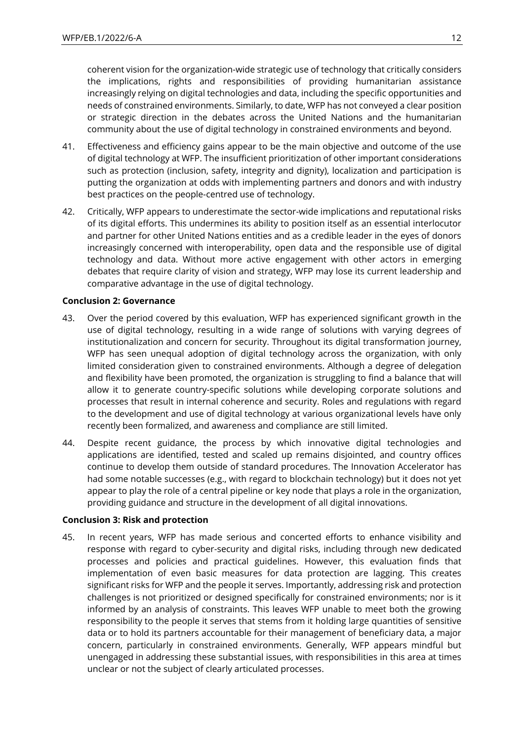coherent vision for the organization-wide strategic use of technology that critically considers the implications, rights and responsibilities of providing humanitarian assistance increasingly relying on digital technologies and data, including the specific opportunities and needs of constrained environments. Similarly, to date, WFP has not conveyed a clear position or strategic direction in the debates across the United Nations and the humanitarian community about the use of digital technology in constrained environments and beyond.

- 41. Effectiveness and efficiency gains appear to be the main objective and outcome of the use of digital technology at WFP. The insufficient prioritization of other important considerations such as protection (inclusion, safety, integrity and dignity), localization and participation is putting the organization at odds with implementing partners and donors and with industry best practices on the people-centred use of technology.
- 42. Critically, WFP appears to underestimate the sector-wide implications and reputational risks of its digital efforts. This undermines its ability to position itself as an essential interlocutor and partner for other United Nations entities and as a credible leader in the eyes of donors increasingly concerned with interoperability, open data and the responsible use of digital technology and data. Without more active engagement with other actors in emerging debates that require clarity of vision and strategy, WFP may lose its current leadership and comparative advantage in the use of digital technology.

### **Conclusion 2: Governance**

- 43. Over the period covered by this evaluation, WFP has experienced significant growth in the use of digital technology, resulting in a wide range of solutions with varying degrees of institutionalization and concern for security. Throughout its digital transformation journey, WFP has seen unequal adoption of digital technology across the organization, with only limited consideration given to constrained environments. Although a degree of delegation and flexibility have been promoted, the organization is struggling to find a balance that will allow it to generate country-specific solutions while developing corporate solutions and processes that result in internal coherence and security. Roles and regulations with regard to the development and use of digital technology at various organizational levels have only recently been formalized, and awareness and compliance are still limited.
- 44. Despite recent guidance, the process by which innovative digital technologies and applications are identified, tested and scaled up remains disjointed, and country offices continue to develop them outside of standard procedures. The Innovation Accelerator has had some notable successes (e.g., with regard to blockchain technology) but it does not yet appear to play the role of a central pipeline or key node that plays a role in the organization, providing guidance and structure in the development of all digital innovations.

### **Conclusion 3: Risk and protection**

45. In recent years, WFP has made serious and concerted efforts to enhance visibility and response with regard to cyber-security and digital risks, including through new dedicated processes and policies and practical guidelines. However, this evaluation finds that implementation of even basic measures for data protection are lagging. This creates significant risks for WFP and the people it serves. Importantly, addressing risk and protection challenges is not prioritized or designed specifically for constrained environments; nor is it informed by an analysis of constraints. This leaves WFP unable to meet both the growing responsibility to the people it serves that stems from it holding large quantities of sensitive data or to hold its partners accountable for their management of beneficiary data, a major concern, particularly in constrained environments. Generally, WFP appears mindful but unengaged in addressing these substantial issues, with responsibilities in this area at times unclear or not the subject of clearly articulated processes.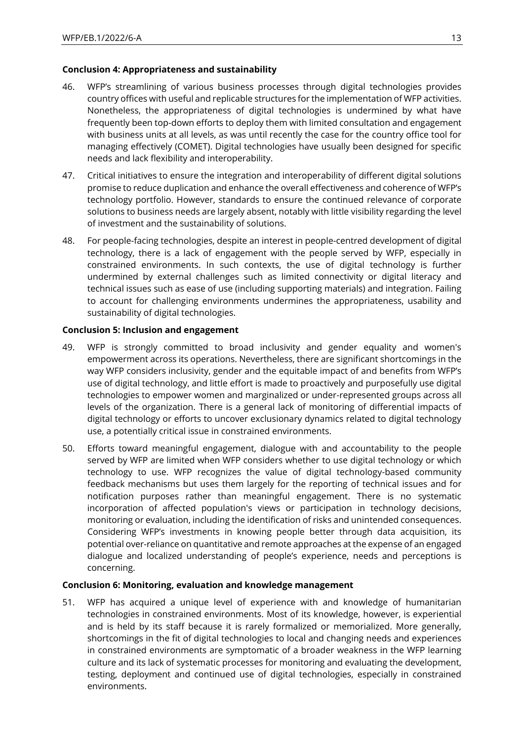# **Conclusion 4: Appropriateness and sustainability**

- 46. WFP's streamlining of various business processes through digital technologies provides country offices with useful and replicable structures for the implementation of WFP activities. Nonetheless, the appropriateness of digital technologies is undermined by what have frequently been top-down efforts to deploy them with limited consultation and engagement with business units at all levels, as was until recently the case for the country office tool for managing effectively (COMET). Digital technologies have usually been designed for specific needs and lack flexibility and interoperability.
- 47. Critical initiatives to ensure the integration and interoperability of different digital solutions promise to reduce duplication and enhance the overall effectiveness and coherence of WFP's technology portfolio. However, standards to ensure the continued relevance of corporate solutions to business needs are largely absent, notably with little visibility regarding the level of investment and the sustainability of solutions.
- 48. For people-facing technologies, despite an interest in people-centred development of digital technology, there is a lack of engagement with the people served by WFP, especially in constrained environments. In such contexts, the use of digital technology is further undermined by external challenges such as limited connectivity or digital literacy and technical issues such as ease of use (including supporting materials) and integration. Failing to account for challenging environments undermines the appropriateness, usability and sustainability of digital technologies.

# **Conclusion 5: Inclusion and engagement**

- 49. WFP is strongly committed to broad inclusivity and gender equality and women's empowerment across its operations. Nevertheless, there are significant shortcomings in the way WFP considers inclusivity, gender and the equitable impact of and benefits from WFP's use of digital technology, and little effort is made to proactively and purposefully use digital technologies to empower women and marginalized or under-represented groups across all levels of the organization. There is a general lack of monitoring of differential impacts of digital technology or efforts to uncover exclusionary dynamics related to digital technology use, a potentially critical issue in constrained environments.
- 50. Efforts toward meaningful engagement, dialogue with and accountability to the people served by WFP are limited when WFP considers whether to use digital technology or which technology to use. WFP recognizes the value of digital technology-based community feedback mechanisms but uses them largely for the reporting of technical issues and for notification purposes rather than meaningful engagement. There is no systematic incorporation of affected population's views or participation in technology decisions, monitoring or evaluation, including the identification of risks and unintended consequences. Considering WFP's investments in knowing people better through data acquisition, its potential over-reliance on quantitative and remote approaches at the expense of an engaged dialogue and localized understanding of people's experience, needs and perceptions is concerning.

### **Conclusion 6: Monitoring, evaluation and knowledge management**

51. WFP has acquired a unique level of experience with and knowledge of humanitarian technologies in constrained environments. Most of its knowledge, however, is experiential and is held by its staff because it is rarely formalized or memorialized. More generally, shortcomings in the fit of digital technologies to local and changing needs and experiences in constrained environments are symptomatic of a broader weakness in the WFP learning culture and its lack of systematic processes for monitoring and evaluating the development, testing, deployment and continued use of digital technologies, especially in constrained environments.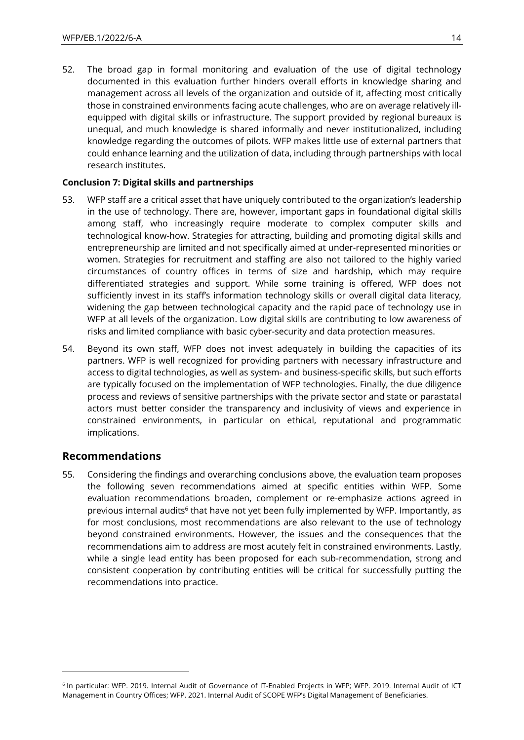52. The broad gap in formal monitoring and evaluation of the use of digital technology documented in this evaluation further hinders overall efforts in knowledge sharing and management across all levels of the organization and outside of it, affecting most critically those in constrained environments facing acute challenges, who are on average relatively illequipped with digital skills or infrastructure. The support provided by regional bureaux is unequal, and much knowledge is shared informally and never institutionalized, including knowledge regarding the outcomes of pilots. WFP makes little use of external partners that could enhance learning and the utilization of data, including through partnerships with local research institutes.

# **Conclusion 7: Digital skills and partnerships**

- 53. WFP staff are a critical asset that have uniquely contributed to the organization's leadership in the use of technology. There are, however, important gaps in foundational digital skills among staff, who increasingly require moderate to complex computer skills and technological know-how. Strategies for attracting, building and promoting digital skills and entrepreneurship are limited and not specifically aimed at under-represented minorities or women. Strategies for recruitment and staffing are also not tailored to the highly varied circumstances of country offices in terms of size and hardship, which may require differentiated strategies and support. While some training is offered, WFP does not sufficiently invest in its staff's information technology skills or overall digital data literacy, widening the gap between technological capacity and the rapid pace of technology use in WFP at all levels of the organization. Low digital skills are contributing to low awareness of risks and limited compliance with basic cyber-security and data protection measures.
- 54. Beyond its own staff, WFP does not invest adequately in building the capacities of its partners. WFP is well recognized for providing partners with necessary infrastructure and access to digital technologies, as well as system- and business-specific skills, but such efforts are typically focused on the implementation of WFP technologies. Finally, the due diligence process and reviews of sensitive partnerships with the private sector and state or parastatal actors must better consider the transparency and inclusivity of views and experience in constrained environments, in particular on ethical, reputational and programmatic implications.

# **Recommendations**

55. Considering the findings and overarching conclusions above, the evaluation team proposes the following seven recommendations aimed at specific entities within WFP. Some evaluation recommendations broaden, complement or re-emphasize actions agreed in previous internal audits<sup>6</sup> that have not yet been fully implemented by WFP. Importantly, as for most conclusions, most recommendations are also relevant to the use of technology beyond constrained environments. However, the issues and the consequences that the recommendations aim to address are most acutely felt in constrained environments. Lastly, while a single lead entity has been proposed for each sub-recommendation, strong and consistent cooperation by contributing entities will be critical for successfully putting the recommendations into practice.

<sup>6</sup> In particular: WFP. 2019. Internal Audit of Governance of IT-Enabled Projects in WFP; WFP. 2019. Internal Audit of ICT Management in Country Offices; WFP. 2021. Internal Audit of SCOPE WFP's Digital Management of Beneficiaries.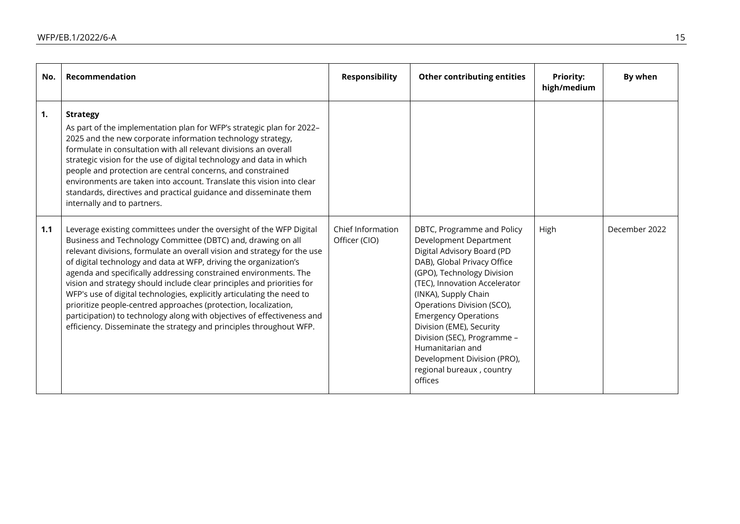| No. | Recommendation                                                                                                                                                                                                                                                                                                                                                                                                                                                                                                                                                                                                                                                                                                                    | <b>Responsibility</b>              | <b>Other contributing entities</b>                                                                                                                                                                                                                                                                                                                                                                                          | <b>Priority:</b><br>high/medium | By when       |
|-----|-----------------------------------------------------------------------------------------------------------------------------------------------------------------------------------------------------------------------------------------------------------------------------------------------------------------------------------------------------------------------------------------------------------------------------------------------------------------------------------------------------------------------------------------------------------------------------------------------------------------------------------------------------------------------------------------------------------------------------------|------------------------------------|-----------------------------------------------------------------------------------------------------------------------------------------------------------------------------------------------------------------------------------------------------------------------------------------------------------------------------------------------------------------------------------------------------------------------------|---------------------------------|---------------|
| 1.  | <b>Strategy</b><br>As part of the implementation plan for WFP's strategic plan for 2022-<br>2025 and the new corporate information technology strategy,<br>formulate in consultation with all relevant divisions an overall<br>strategic vision for the use of digital technology and data in which<br>people and protection are central concerns, and constrained<br>environments are taken into account. Translate this vision into clear<br>standards, directives and practical guidance and disseminate them<br>internally and to partners.                                                                                                                                                                                   |                                    |                                                                                                                                                                                                                                                                                                                                                                                                                             |                                 |               |
| 1.1 | Leverage existing committees under the oversight of the WFP Digital<br>Business and Technology Committee (DBTC) and, drawing on all<br>relevant divisions, formulate an overall vision and strategy for the use<br>of digital technology and data at WFP, driving the organization's<br>agenda and specifically addressing constrained environments. The<br>vision and strategy should include clear principles and priorities for<br>WFP's use of digital technologies, explicitly articulating the need to<br>prioritize people-centred approaches (protection, localization,<br>participation) to technology along with objectives of effectiveness and<br>efficiency. Disseminate the strategy and principles throughout WFP. | Chief Information<br>Officer (CIO) | DBTC, Programme and Policy<br>Development Department<br>Digital Advisory Board (PD<br>DAB), Global Privacy Office<br>(GPO), Technology Division<br>(TEC), Innovation Accelerator<br>(INKA), Supply Chain<br>Operations Division (SCO),<br><b>Emergency Operations</b><br>Division (EME), Security<br>Division (SEC), Programme -<br>Humanitarian and<br>Development Division (PRO),<br>regional bureaux, country<br>offices | High                            | December 2022 |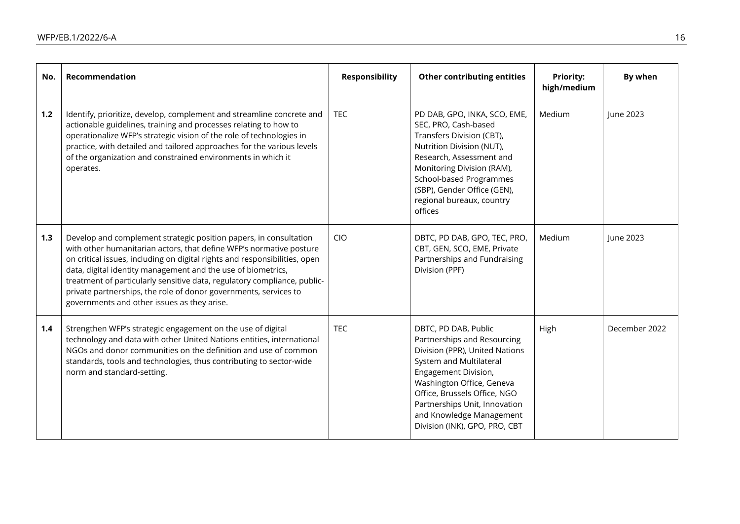| No. | Recommendation                                                                                                                                                                                                                                                                                                                                                                                                                                                                        | <b>Responsibility</b> | <b>Other contributing entities</b>                                                                                                                                                                                                                                                                  | <b>Priority:</b><br>high/medium | By when       |
|-----|---------------------------------------------------------------------------------------------------------------------------------------------------------------------------------------------------------------------------------------------------------------------------------------------------------------------------------------------------------------------------------------------------------------------------------------------------------------------------------------|-----------------------|-----------------------------------------------------------------------------------------------------------------------------------------------------------------------------------------------------------------------------------------------------------------------------------------------------|---------------------------------|---------------|
| 1.2 | Identify, prioritize, develop, complement and streamline concrete and<br>actionable guidelines, training and processes relating to how to<br>operationalize WFP's strategic vision of the role of technologies in<br>practice, with detailed and tailored approaches for the various levels<br>of the organization and constrained environments in which it<br>operates.                                                                                                              | <b>TEC</b>            | PD DAB, GPO, INKA, SCO, EME,<br>SEC, PRO, Cash-based<br>Transfers Division (CBT),<br>Nutrition Division (NUT),<br>Research, Assessment and<br>Monitoring Division (RAM),<br>School-based Programmes<br>(SBP), Gender Office (GEN),<br>regional bureaux, country<br>offices                          | Medium                          | June 2023     |
| 1.3 | Develop and complement strategic position papers, in consultation<br>with other humanitarian actors, that define WFP's normative posture<br>on critical issues, including on digital rights and responsibilities, open<br>data, digital identity management and the use of biometrics,<br>treatment of particularly sensitive data, regulatory compliance, public-<br>private partnerships, the role of donor governments, services to<br>governments and other issues as they arise. | <b>CIO</b>            | DBTC, PD DAB, GPO, TEC, PRO,<br>CBT, GEN, SCO, EME, Private<br>Partnerships and Fundraising<br>Division (PPF)                                                                                                                                                                                       | Medium                          | June 2023     |
| 1.4 | Strengthen WFP's strategic engagement on the use of digital<br>technology and data with other United Nations entities, international<br>NGOs and donor communities on the definition and use of common<br>standards, tools and technologies, thus contributing to sector-wide<br>norm and standard-setting.                                                                                                                                                                           | <b>TEC</b>            | DBTC, PD DAB, Public<br>Partnerships and Resourcing<br>Division (PPR), United Nations<br>System and Multilateral<br>Engagement Division,<br>Washington Office, Geneva<br>Office, Brussels Office, NGO<br>Partnerships Unit, Innovation<br>and Knowledge Management<br>Division (INK), GPO, PRO, CBT | High                            | December 2022 |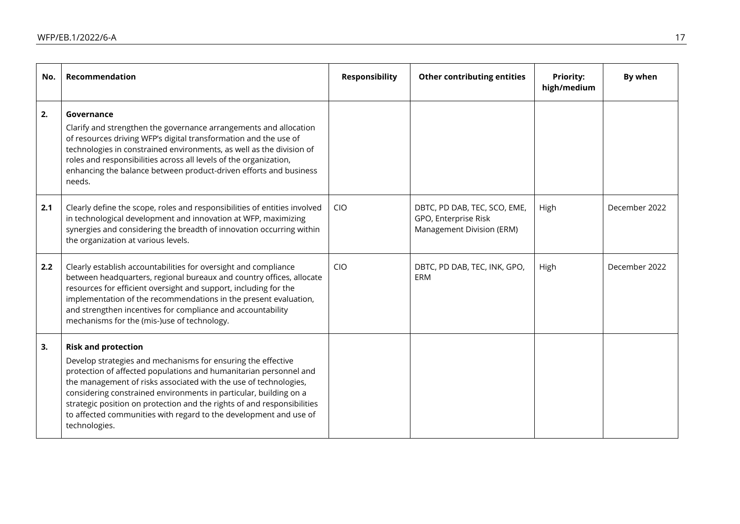| No. | Recommendation                                                                                                                                                                                                                                                                                                                                                                                                                                                            | <b>Responsibility</b> | <b>Other contributing entities</b>                                                | <b>Priority:</b><br>high/medium | By when       |
|-----|---------------------------------------------------------------------------------------------------------------------------------------------------------------------------------------------------------------------------------------------------------------------------------------------------------------------------------------------------------------------------------------------------------------------------------------------------------------------------|-----------------------|-----------------------------------------------------------------------------------|---------------------------------|---------------|
| 2.  | Governance<br>Clarify and strengthen the governance arrangements and allocation<br>of resources driving WFP's digital transformation and the use of<br>technologies in constrained environments, as well as the division of<br>roles and responsibilities across all levels of the organization,<br>enhancing the balance between product-driven efforts and business<br>needs.                                                                                           |                       |                                                                                   |                                 |               |
| 2.1 | Clearly define the scope, roles and responsibilities of entities involved<br>in technological development and innovation at WFP, maximizing<br>synergies and considering the breadth of innovation occurring within<br>the organization at various levels.                                                                                                                                                                                                                | <b>CIO</b>            | DBTC, PD DAB, TEC, SCO, EME,<br>GPO, Enterprise Risk<br>Management Division (ERM) | High                            | December 2022 |
| 2.2 | Clearly establish accountabilities for oversight and compliance<br>between headquarters, regional bureaux and country offices, allocate<br>resources for efficient oversight and support, including for the<br>implementation of the recommendations in the present evaluation,<br>and strengthen incentives for compliance and accountability<br>mechanisms for the (mis-)use of technology.                                                                             | <b>CIO</b>            | DBTC, PD DAB, TEC, INK, GPO,<br>ERM                                               | High                            | December 2022 |
| 3.  | <b>Risk and protection</b><br>Develop strategies and mechanisms for ensuring the effective<br>protection of affected populations and humanitarian personnel and<br>the management of risks associated with the use of technologies,<br>considering constrained environments in particular, building on a<br>strategic position on protection and the rights of and responsibilities<br>to affected communities with regard to the development and use of<br>technologies. |                       |                                                                                   |                                 |               |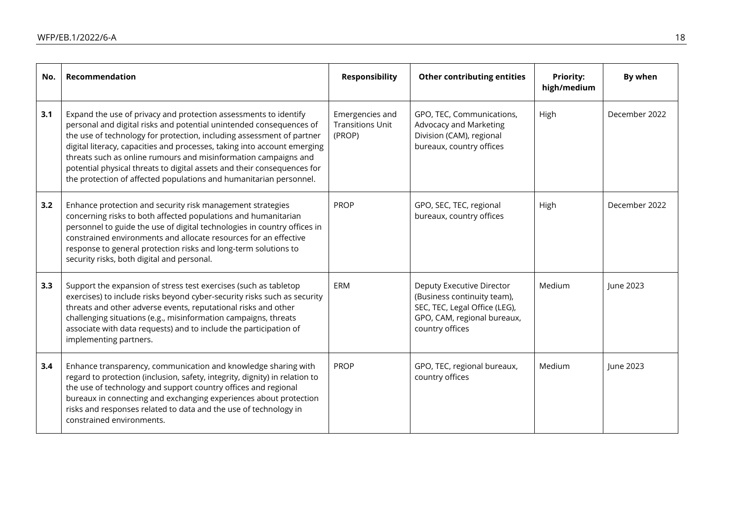| No. | Recommendation                                                                                                                                                                                                                                                                                                                                                                                                                                                                                                   | <b>Responsibility</b>                                | <b>Other contributing entities</b>                                                                                                          | <b>Priority:</b><br>high/medium | By when       |
|-----|------------------------------------------------------------------------------------------------------------------------------------------------------------------------------------------------------------------------------------------------------------------------------------------------------------------------------------------------------------------------------------------------------------------------------------------------------------------------------------------------------------------|------------------------------------------------------|---------------------------------------------------------------------------------------------------------------------------------------------|---------------------------------|---------------|
| 3.1 | Expand the use of privacy and protection assessments to identify<br>personal and digital risks and potential unintended consequences of<br>the use of technology for protection, including assessment of partner<br>digital literacy, capacities and processes, taking into account emerging<br>threats such as online rumours and misinformation campaigns and<br>potential physical threats to digital assets and their consequences for<br>the protection of affected populations and humanitarian personnel. | Emergencies and<br><b>Transitions Unit</b><br>(PROP) | GPO, TEC, Communications,<br>Advocacy and Marketing<br>Division (CAM), regional<br>bureaux, country offices                                 | High                            | December 2022 |
| 3.2 | Enhance protection and security risk management strategies<br>concerning risks to both affected populations and humanitarian<br>personnel to guide the use of digital technologies in country offices in<br>constrained environments and allocate resources for an effective<br>response to general protection risks and long-term solutions to<br>security risks, both digital and personal.                                                                                                                    | <b>PROP</b>                                          | GPO, SEC, TEC, regional<br>bureaux, country offices                                                                                         | High                            | December 2022 |
| 3.3 | Support the expansion of stress test exercises (such as tabletop<br>exercises) to include risks beyond cyber-security risks such as security<br>threats and other adverse events, reputational risks and other<br>challenging situations (e.g., misinformation campaigns, threats<br>associate with data requests) and to include the participation of<br>implementing partners.                                                                                                                                 | ERM                                                  | Deputy Executive Director<br>(Business continuity team),<br>SEC, TEC, Legal Office (LEG),<br>GPO, CAM, regional bureaux,<br>country offices | Medium                          | June 2023     |
| 3.4 | Enhance transparency, communication and knowledge sharing with<br>regard to protection (inclusion, safety, integrity, dignity) in relation to<br>the use of technology and support country offices and regional<br>bureaux in connecting and exchanging experiences about protection<br>risks and responses related to data and the use of technology in<br>constrained environments.                                                                                                                            | <b>PROP</b>                                          | GPO, TEC, regional bureaux,<br>country offices                                                                                              | Medium                          | June 2023     |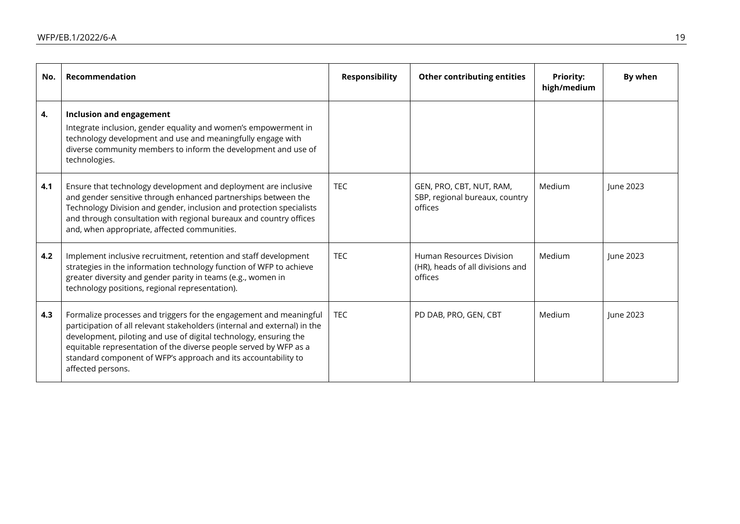| No. | Recommendation                                                                                                                                                                                                                                                                                                                                                                   | <b>Responsibility</b> | <b>Other contributing entities</b>                                      | <b>Priority:</b><br>high/medium | By when   |
|-----|----------------------------------------------------------------------------------------------------------------------------------------------------------------------------------------------------------------------------------------------------------------------------------------------------------------------------------------------------------------------------------|-----------------------|-------------------------------------------------------------------------|---------------------------------|-----------|
| 4.  | Inclusion and engagement<br>Integrate inclusion, gender equality and women's empowerment in<br>technology development and use and meaningfully engage with<br>diverse community members to inform the development and use of<br>technologies.                                                                                                                                    |                       |                                                                         |                                 |           |
| 4.1 | Ensure that technology development and deployment are inclusive<br>and gender sensitive through enhanced partnerships between the<br>Technology Division and gender, inclusion and protection specialists<br>and through consultation with regional bureaux and country offices<br>and, when appropriate, affected communities.                                                  | <b>TEC</b>            | GEN, PRO, CBT, NUT, RAM,<br>SBP, regional bureaux, country<br>offices   | Medium                          | June 2023 |
| 4.2 | Implement inclusive recruitment, retention and staff development<br>strategies in the information technology function of WFP to achieve<br>greater diversity and gender parity in teams (e.g., women in<br>technology positions, regional representation).                                                                                                                       | <b>TEC</b>            | Human Resources Division<br>(HR), heads of all divisions and<br>offices | Medium                          | June 2023 |
| 4.3 | Formalize processes and triggers for the engagement and meaningful<br>participation of all relevant stakeholders (internal and external) in the<br>development, piloting and use of digital technology, ensuring the<br>equitable representation of the diverse people served by WFP as a<br>standard component of WFP's approach and its accountability to<br>affected persons. | <b>TEC</b>            | PD DAB, PRO, GEN, CBT                                                   | Medium                          | June 2023 |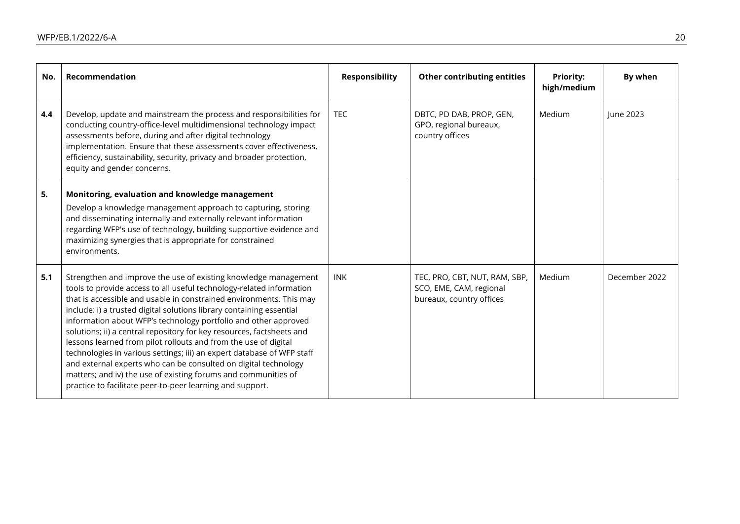| No. | Recommendation                                                                                                                                                                                                                                                                                                                                                                                                                                                                                                                                                                                                                                                                                                                                                                    | <b>Responsibility</b> | <b>Other contributing entities</b>                                                   | <b>Priority:</b><br>high/medium | By when       |
|-----|-----------------------------------------------------------------------------------------------------------------------------------------------------------------------------------------------------------------------------------------------------------------------------------------------------------------------------------------------------------------------------------------------------------------------------------------------------------------------------------------------------------------------------------------------------------------------------------------------------------------------------------------------------------------------------------------------------------------------------------------------------------------------------------|-----------------------|--------------------------------------------------------------------------------------|---------------------------------|---------------|
| 4.4 | Develop, update and mainstream the process and responsibilities for<br>conducting country-office-level multidimensional technology impact<br>assessments before, during and after digital technology<br>implementation. Ensure that these assessments cover effectiveness,<br>efficiency, sustainability, security, privacy and broader protection,<br>equity and gender concerns.                                                                                                                                                                                                                                                                                                                                                                                                | <b>TEC</b>            | DBTC, PD DAB, PROP, GEN,<br>GPO, regional bureaux,<br>country offices                | Medium                          | June 2023     |
| 5.  | Monitoring, evaluation and knowledge management<br>Develop a knowledge management approach to capturing, storing<br>and disseminating internally and externally relevant information<br>regarding WFP's use of technology, building supportive evidence and<br>maximizing synergies that is appropriate for constrained<br>environments.                                                                                                                                                                                                                                                                                                                                                                                                                                          |                       |                                                                                      |                                 |               |
| 5.1 | Strengthen and improve the use of existing knowledge management<br>tools to provide access to all useful technology-related information<br>that is accessible and usable in constrained environments. This may<br>include: i) a trusted digital solutions library containing essential<br>information about WFP's technology portfolio and other approved<br>solutions; ii) a central repository for key resources, factsheets and<br>lessons learned from pilot rollouts and from the use of digital<br>technologies in various settings; iii) an expert database of WFP staff<br>and external experts who can be consulted on digital technology<br>matters; and iv) the use of existing forums and communities of<br>practice to facilitate peer-to-peer learning and support. | <b>INK</b>            | TEC, PRO, CBT, NUT, RAM, SBP,<br>SCO, EME, CAM, regional<br>bureaux, country offices | Medium                          | December 2022 |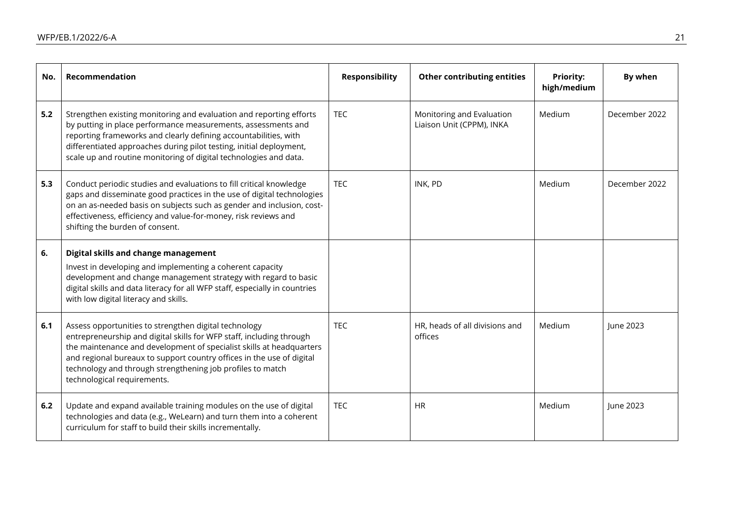| No. | Recommendation                                                                                                                                                                                                                                                                                                                                                              | <b>Responsibility</b> | <b>Other contributing entities</b>                     | <b>Priority:</b><br>high/medium | By when       |
|-----|-----------------------------------------------------------------------------------------------------------------------------------------------------------------------------------------------------------------------------------------------------------------------------------------------------------------------------------------------------------------------------|-----------------------|--------------------------------------------------------|---------------------------------|---------------|
| 5.2 | Strengthen existing monitoring and evaluation and reporting efforts<br>by putting in place performance measurements, assessments and<br>reporting frameworks and clearly defining accountabilities, with<br>differentiated approaches during pilot testing, initial deployment,<br>scale up and routine monitoring of digital technologies and data.                        | <b>TEC</b>            | Monitoring and Evaluation<br>Liaison Unit (CPPM), INKA | Medium                          | December 2022 |
| 5.3 | Conduct periodic studies and evaluations to fill critical knowledge<br>gaps and disseminate good practices in the use of digital technologies<br>on an as-needed basis on subjects such as gender and inclusion, cost-<br>effectiveness, efficiency and value-for-money, risk reviews and<br>shifting the burden of consent.                                                | <b>TEC</b>            | INK, PD                                                | Medium                          | December 2022 |
| 6.  | Digital skills and change management<br>Invest in developing and implementing a coherent capacity<br>development and change management strategy with regard to basic<br>digital skills and data literacy for all WFP staff, especially in countries<br>with low digital literacy and skills.                                                                                |                       |                                                        |                                 |               |
| 6.1 | Assess opportunities to strengthen digital technology<br>entrepreneurship and digital skills for WFP staff, including through<br>the maintenance and development of specialist skills at headquarters<br>and regional bureaux to support country offices in the use of digital<br>technology and through strengthening job profiles to match<br>technological requirements. | <b>TEC</b>            | HR, heads of all divisions and<br>offices              | Medium                          | June 2023     |
| 6.2 | Update and expand available training modules on the use of digital<br>technologies and data (e.g., WeLearn) and turn them into a coherent<br>curriculum for staff to build their skills incrementally.                                                                                                                                                                      | <b>TEC</b>            | <b>HR</b>                                              | Medium                          | June 2023     |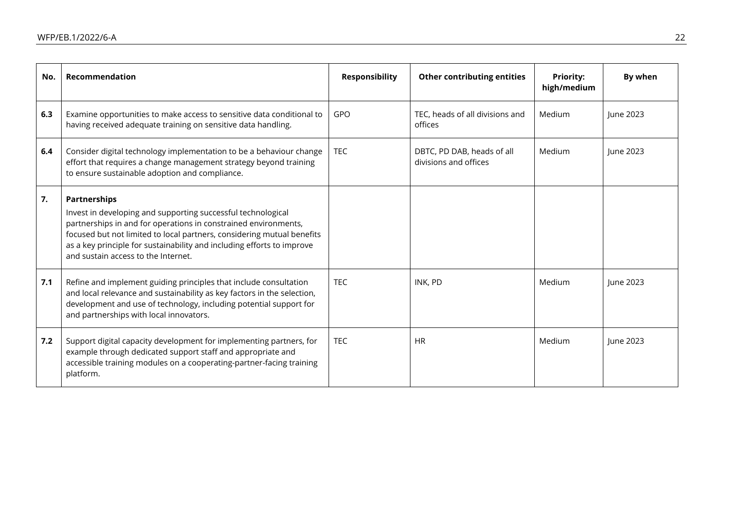| No. | Recommendation                                                                                                                                                                                                                                                                                                                                    | <b>Responsibility</b> | <b>Other contributing entities</b>                  | <b>Priority:</b><br>high/medium | By when   |
|-----|---------------------------------------------------------------------------------------------------------------------------------------------------------------------------------------------------------------------------------------------------------------------------------------------------------------------------------------------------|-----------------------|-----------------------------------------------------|---------------------------------|-----------|
| 6.3 | Examine opportunities to make access to sensitive data conditional to<br>having received adequate training on sensitive data handling.                                                                                                                                                                                                            | <b>GPO</b>            | TEC, heads of all divisions and<br>offices          | Medium                          | lune 2023 |
| 6.4 | Consider digital technology implementation to be a behaviour change<br>effort that requires a change management strategy beyond training<br>to ensure sustainable adoption and compliance.                                                                                                                                                        | <b>TEC</b>            | DBTC, PD DAB, heads of all<br>divisions and offices | Medium                          | lune 2023 |
| 7.  | <b>Partnerships</b><br>Invest in developing and supporting successful technological<br>partnerships in and for operations in constrained environments,<br>focused but not limited to local partners, considering mutual benefits<br>as a key principle for sustainability and including efforts to improve<br>and sustain access to the Internet. |                       |                                                     |                                 |           |
| 7.1 | Refine and implement guiding principles that include consultation<br>and local relevance and sustainability as key factors in the selection,<br>development and use of technology, including potential support for<br>and partnerships with local innovators.                                                                                     | <b>TEC</b>            | INK, PD                                             | Medium                          | lune 2023 |
| 7.2 | Support digital capacity development for implementing partners, for<br>example through dedicated support staff and appropriate and<br>accessible training modules on a cooperating-partner-facing training<br>platform.                                                                                                                           | <b>TEC</b>            | <b>HR</b>                                           | Medium                          | June 2023 |